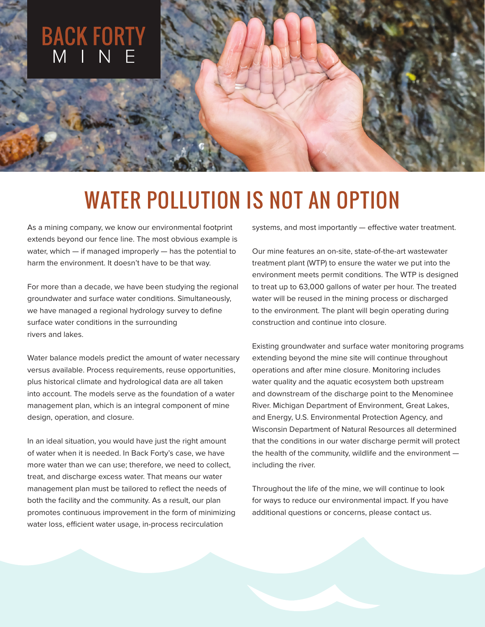

# WATER POLLUTION IS NOT AN OPTION

As a mining company, we know our environmental footprint extends beyond our fence line. The most obvious example is water, which — if managed improperly — has the potential to harm the environment. It doesn't have to be that way.

For more than a decade, we have been studying the regional groundwater and surface water conditions. Simultaneously, we have managed a regional hydrology survey to define surface water conditions in the surrounding rivers and lakes.

Water balance models predict the amount of water necessary versus available. Process requirements, reuse opportunities, plus historical climate and hydrological data are all taken into account. The models serve as the foundation of a water management plan, which is an integral component of mine design, operation, and closure.

In an ideal situation, you would have just the right amount of water when it is needed. In Back Forty's case, we have more water than we can use; therefore, we need to collect, treat, and discharge excess water. That means our water management plan must be tailored to reflect the needs of both the facility and the community. As a result, our plan promotes continuous improvement in the form of minimizing water loss, efficient water usage, in-process recirculation

systems, and most importantly — effective water treatment.

Our mine features an on-site, state-of-the-art wastewater treatment plant (WTP) to ensure the water we put into the environment meets permit conditions. The WTP is designed to treat up to 63,000 gallons of water per hour. The treated water will be reused in the mining process or discharged to the environment. The plant will begin operating during construction and continue into closure.

Existing groundwater and surface water monitoring programs extending beyond the mine site will continue throughout operations and after mine closure. Monitoring includes water quality and the aquatic ecosystem both upstream and downstream of the discharge point to the Menominee River. Michigan Department of Environment, Great Lakes, and Energy, U.S. Environmental Protection Agency, and Wisconsin Department of Natural Resources all determined that the conditions in our water discharge permit will protect the health of the community, wildlife and the environment including the river.

Throughout the life of the mine, we will continue to look for ways to reduce our environmental impact. If you have additional questions or concerns, please contact us.